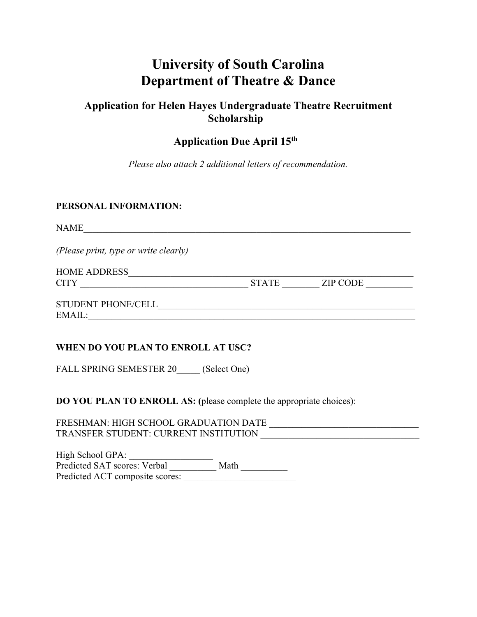# **University of South Carolina Department of Theatre & Dance**

## **Application for Helen Hayes Undergraduate Theatre Recruitment Scholarship**

# **Application Due April 15th**

*Please also attach 2 additional letters of recommendation.* 

#### **PERSONAL INFORMATION:**

NAME

*(Please print, type or write clearly)* 

HOME ADDRESS CITY GENERAL STATE THE ZIP CODE

 ${\large \bf STUDENT\ PHONE/CELL\_} \qquad {\large \bf$ EMAIL:

#### **WHEN DO YOU PLAN TO ENROLL AT USC?**

FALL SPRING SEMESTER 20 (Select One)

**DO YOU PLAN TO ENROLL AS: (**please complete the appropriate choices):

FRESHMAN: HIGH SCHOOL GRADUATION DATE \_\_\_\_\_\_\_\_\_\_\_\_\_\_\_\_\_\_\_\_\_\_\_\_\_\_\_\_\_\_\_\_ TRANSFER STUDENT: CURRENT INSTITUTION

High School GPA: High School GPA: Predicted SAT scores: Verbal \_\_\_\_\_\_\_\_\_ Math Predicted ACT composite scores: \_\_\_\_\_\_\_\_\_\_\_\_\_\_\_\_\_\_\_\_\_\_\_\_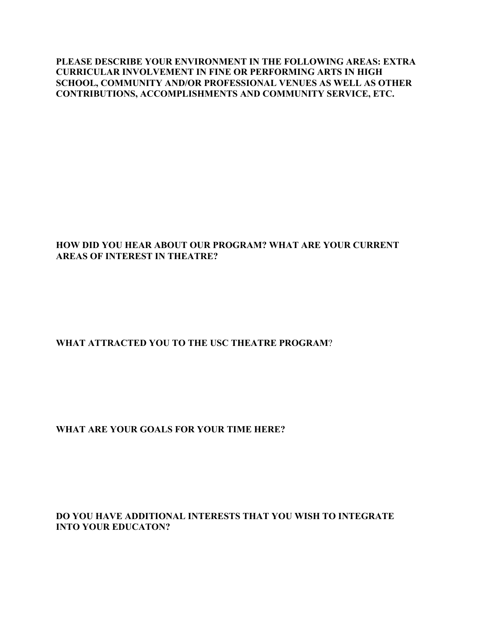**PLEASE DESCRIBE YOUR ENVIRONMENT IN THE FOLLOWING AREAS: EXTRA CURRICULAR INVOLVEMENT IN FINE OR PERFORMING ARTS IN HIGH SCHOOL, COMMUNITY AND/OR PROFESSIONAL VENUES AS WELL AS OTHER CONTRIBUTIONS, ACCOMPLISHMENTS AND COMMUNITY SERVICE, ETC.** 

#### **HOW DID YOU HEAR ABOUT OUR PROGRAM? WHAT ARE YOUR CURRENT AREAS OF INTEREST IN THEATRE?**

### **WHAT ATTRACTED YOU TO THE USC THEATRE PROGRAM**?

#### **WHAT ARE YOUR GOALS FOR YOUR TIME HERE?**

**DO YOU HAVE ADDITIONAL INTERESTS THAT YOU WISH TO INTEGRATE INTO YOUR EDUCATON?**